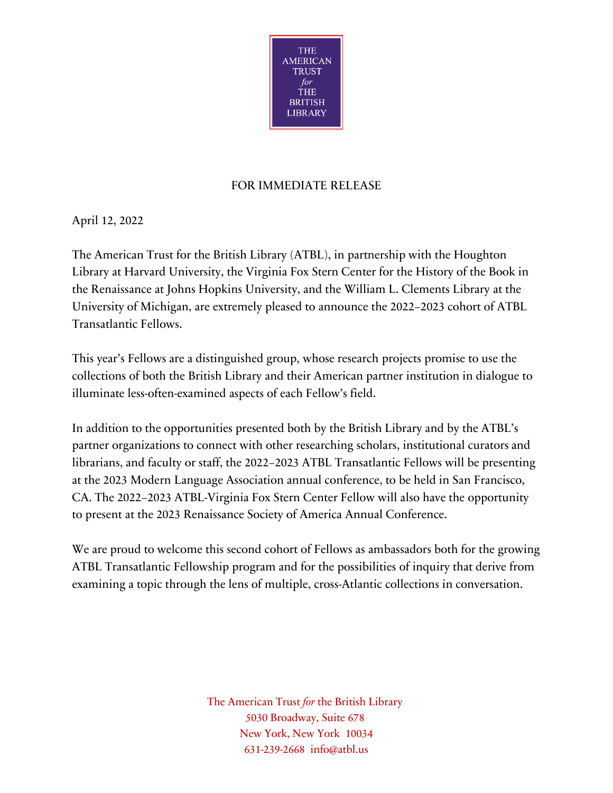

## FOR IMMEDIATE RELEASE

April 12, 2022

The American Trust for the British Library (ATBL), in partnership with the Houghton Library at Harvard University, the Virginia Fox Stern Center for the History of the Book in the Renaissance at Johns Hopkins University, and the William L. Clements Library at the University of Michigan, are extremely pleased to announce the 2022–2023 cohort of ATBL Transatlantic Fellows.

This year's Fellows are a distinguished group, whose research projects promise to use the collections of both the British Library and their American partner institution in dialogue to illuminate less-often-examined aspects of each Fellow's field.

In addition to the opportunities presented both by the British Library and by the ATBL's partner organizations to connect with other researching scholars, institutional curators and librarians, and faculty or staff, the 2022–2023 ATBL Transatlantic Fellows will be presenting at the 2023 Modern Language Association annual conference, to be held in San Francisco, CA. The 2022–2023 ATBL-Virginia Fox Stern Center Fellow will also have the opportunity to present at the 2023 Renaissance Society of America Annual Conference.

We are proud to welcome this second cohort of Fellows as ambassadors both for the growing ATBL Transatlantic Fellowship program and for the possibilities of inquiry that derive from examining a topic through the lens of multiple, cross-Atlantic collections in conversation.

> The American Trust *for* the British Library 5030 Broadway, Suite 678 New York, New York 10034 631-239-2668 info@atbl.us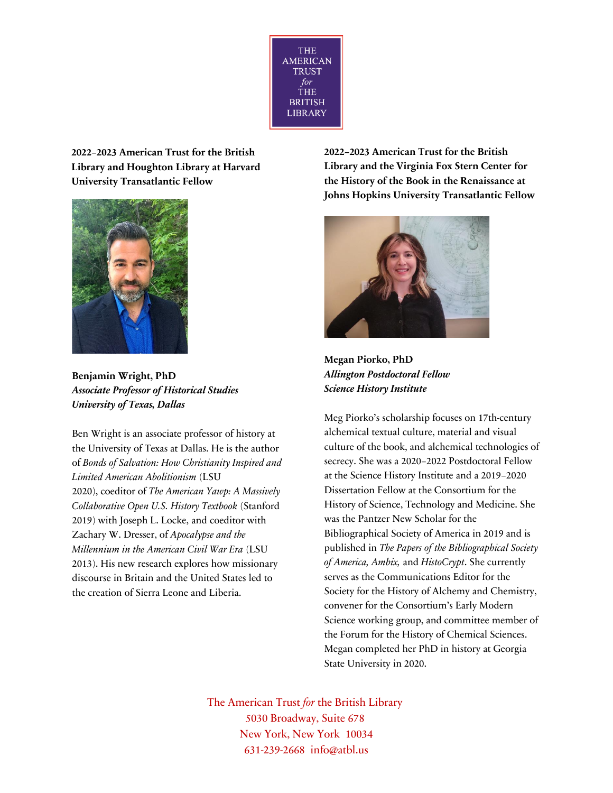

**2022–2023 American Trust for the British Library and Houghton Library at Harvard University Transatlantic Fellow** 



**Benjamin Wright, PhD**  *Associate Professor of Historical Studies University of Texas, Dallas* 

Ben Wright is an associate professor of history at the University of Texas at Dallas. He is the author of *Bonds of Salvation: How Christianity Inspired and Limited American Abolitionism* (LSU 2020), coeditor of *The American Yawp: A Massively Collaborative Open U.S. History Textbook* (Stanford 2019) with Joseph L. Locke, and coeditor with Zachary W. Dresser, of *Apocalypse and the Millennium in the American Civil War Era* (LSU 2013). His new research explores how missionary discourse in Britain and the United States led to the creation of Sierra Leone and Liberia.

**2022–2023 American Trust for the British Library and the Virginia Fox Stern Center for the History of the Book in the Renaissance at Johns Hopkins University Transatlantic Fellow** 



**Megan Piorko, PhD**  *Allington Postdoctoral Fellow Science History Institute* 

Meg Piorko's scholarship focuses on 17th-century alchemical textual culture, material and visual culture of the book, and alchemical technologies of secrecy. She was a 2020–2022 Postdoctoral Fellow at the Science History Institute and a 2019–2020 Dissertation Fellow at the Consortium for the History of Science, Technology and Medicine. She was the Pantzer New Scholar for the Bibliographical Society of America in 2019 and is published in *The Papers of the Bibliographical Society of America, Ambix,* and *HistoCrypt*. She currently serves as the Communications Editor for the Society for the History of Alchemy and Chemistry, convener for the Consortium's Early Modern Science working group, and committee member of the Forum for the History of Chemical Sciences. Megan completed her PhD in history at Georgia State University in 2020.

The American Trust *for* the British Library 5030 Broadway, Suite 678 New York, New York 10034 631-239-2668 info@atbl.us